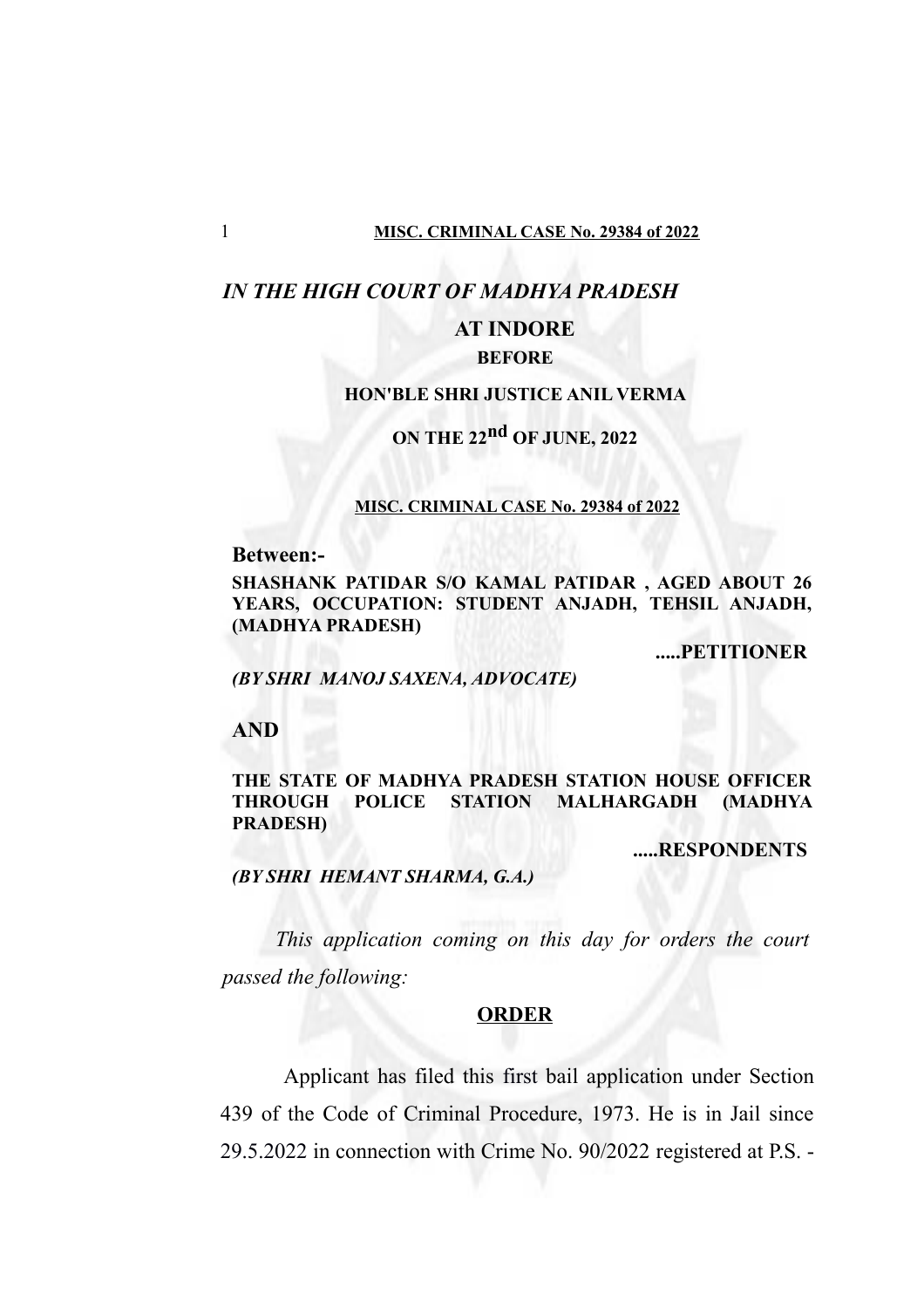### *IN THE HIGH COURT OF MADHYA PRADESH*

## **AT INDORE**

### **BEFORE**

### **HON'BLE SHRI JUSTICE ANIL VERMA**

# **ON THE 22nd OF JUNE, 2022**

#### **MISC. CRIMINAL CASE No. 29384 of 2022**

**Between:-**

**SHASHANK PATIDAR S/O KAMAL PATIDAR , AGED ABOUT 26 YEARS, OCCUPATION: STUDENT ANJADH, TEHSIL ANJADH, (MADHYA PRADESH)**

**.....PETITIONER**

*(BY SHRI MANOJ SAXENA, ADVOCATE)*

**AND**

#### **THE STATE OF MADHYA PRADESH STATION HOUSE OFFICER THROUGH POLICE STATION MALHARGADH (MADHYA PRADESH)**

**.....RESPONDENTS**

#### *(BY SHRI HEMANT SHARMA, G.A.)*

*This application coming on this day for orders the court passed the following:*

#### **ORDER**

 Applicant has filed this first bail application under Section 439 of the Code of Criminal Procedure, 1973. He is in Jail since 29.5.2022 in connection with Crime No. 90/2022 registered at P.S. -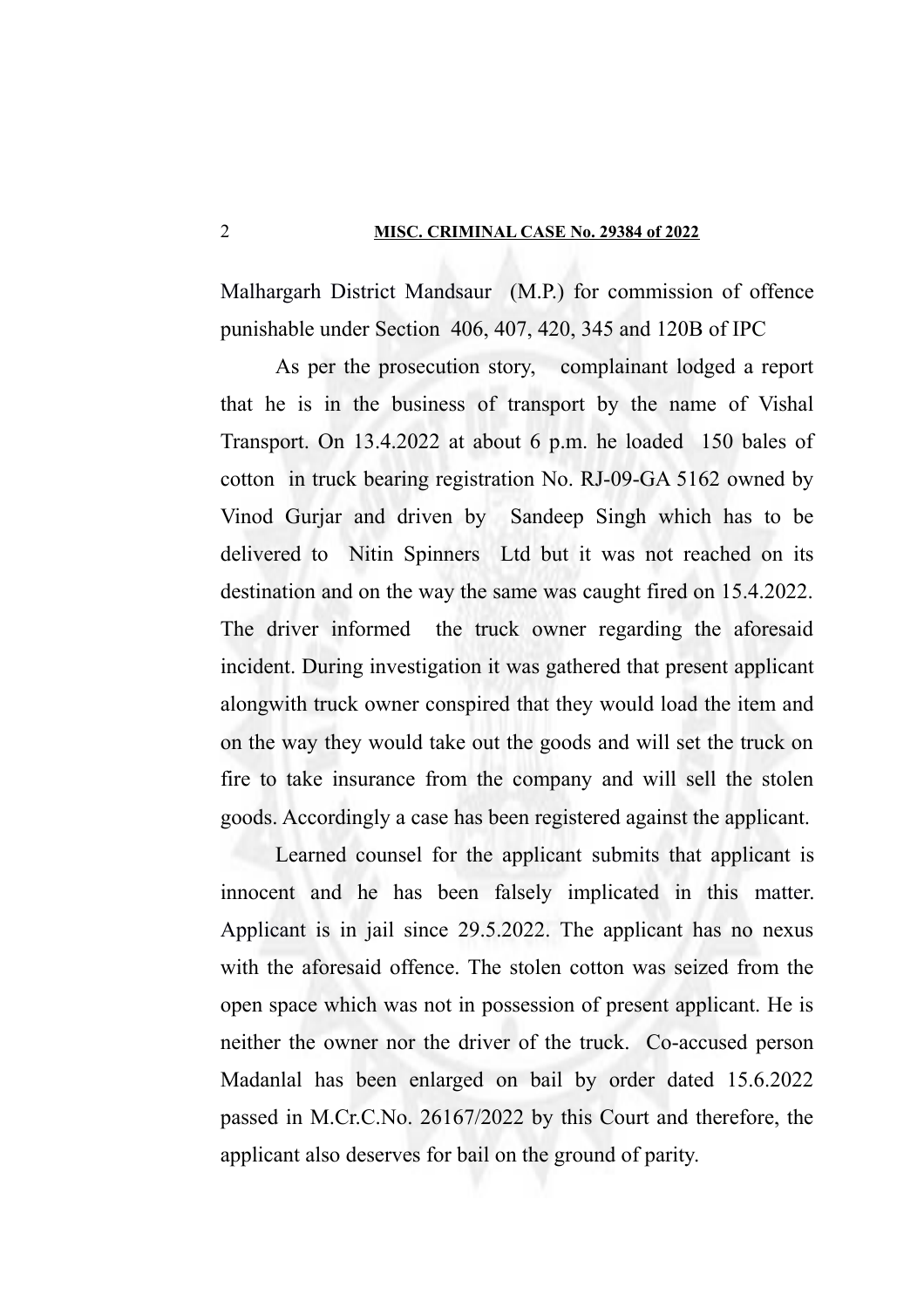#### 2 **MISC. CRIMINAL CASE No. 29384 of 2022**

Malhargarh District Mandsaur (M.P.) for commission of offence punishable under Section 406, 407, 420, 345 and 120B of IPC

As per the prosecution story, complainant lodged a report that he is in the business of transport by the name of Vishal Transport. On 13.4.2022 at about 6 p.m. he loaded 150 bales of cotton in truck bearing registration No. RJ-09-GA 5162 owned by Vinod Gurjar and driven by Sandeep Singh which has to be delivered to Nitin Spinners Ltd but it was not reached on its destination and on the way the same was caught fired on 15.4.2022. The driver informed the truck owner regarding the aforesaid incident. During investigation it was gathered that present applicant alongwith truck owner conspired that they would load the item and on the way they would take out the goods and will set the truck on fire to take insurance from the company and will sell the stolen goods. Accordingly a case has been registered against the applicant.

Learned counsel for the applicant submits that applicant is innocent and he has been falsely implicated in this matter. Applicant is in jail since 29.5.2022. The applicant has no nexus with the aforesaid offence. The stolen cotton was seized from the open space which was not in possession of present applicant. He is neither the owner nor the driver of the truck. Co-accused person Madanlal has been enlarged on bail by order dated 15.6.2022 passed in M.Cr.C.No. 26167/2022 by this Court and therefore, the applicant also deserves for bail on the ground of parity.